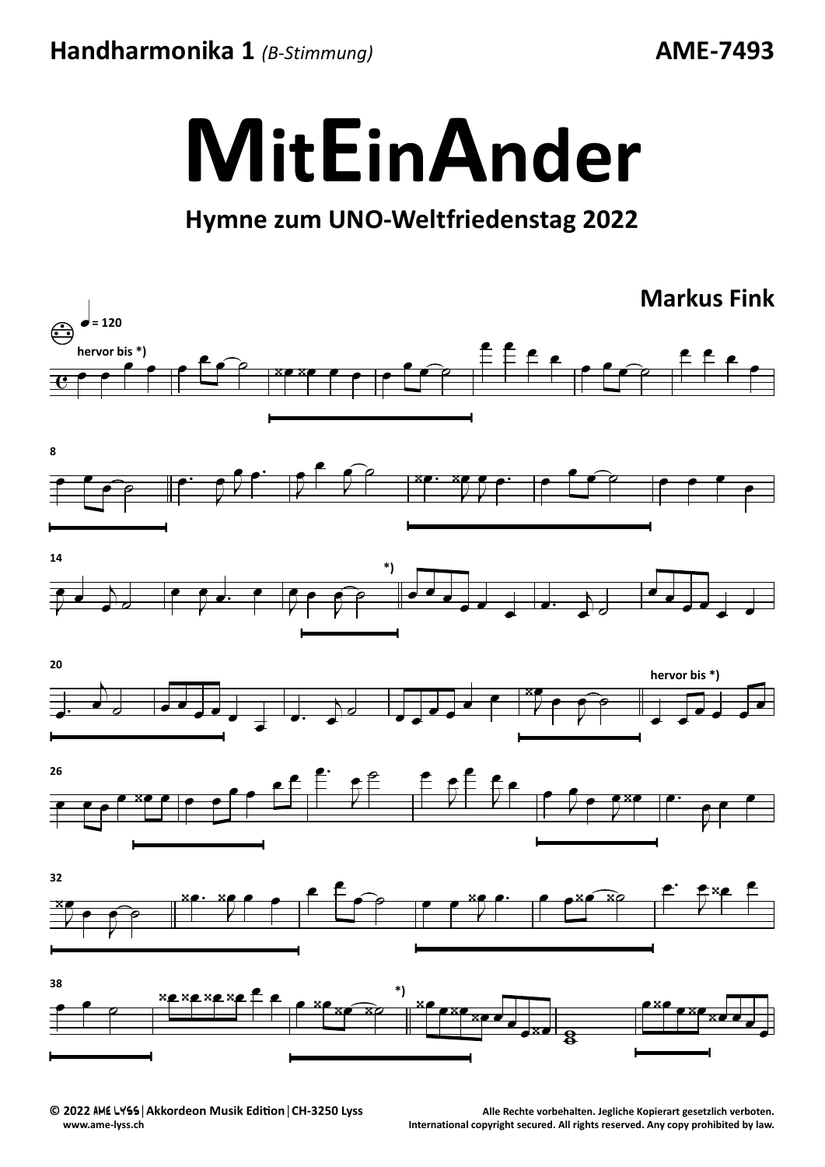Handharmonika 1 (B-Stimmung)

**AME-7493** 



## Hymne zum UNO-Weltfriedenstag 2022



Alle Rechte vorbehalten. Jegliche Kopierart gesetzlich verboten. International copyright secured. All rights reserved. Any copy prohibited by law.